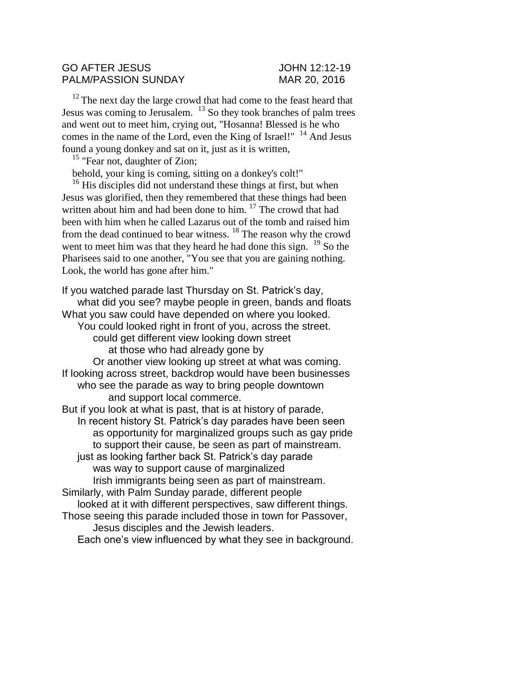#### GO AFTER JESUS JOHN 12:12-19 PALM/PASSION SUNDAY MAR 20, 2016

<sup>12</sup> The next day the large crowd that had come to the feast heard that Jesus was coming to Jerusalem. <sup>13</sup> So they took branches of palm trees and went out to meet him, crying out, "Hosanna! Blessed is he who comes in the name of the Lord, even the King of Israel!"  $14$  And Jesus found a young donkey and sat on it, just as it is written,

<sup>15</sup> "Fear not, daughter of Zion;

behold, your king is coming, sitting on a donkey's colt!"

<sup>16</sup> His disciples did not understand these things at first, but when Jesus was glorified, then they remembered that these things had been written about him and had been done to him.<sup>17</sup> The crowd that had been with him when he called Lazarus out of the tomb and raised him from the dead continued to bear witness. <sup>18</sup> The reason why the crowd went to meet him was that they heard he had done this sign.  $19$  So the Pharisees said to one another, "You see that you are gaining nothing. Look, the world has gone after him."

If you watched parade last Thursday on St. Patrick's day, what did you see? maybe people in green, bands and floats What you saw could have depended on where you looked. You could looked right in front of you, across the street. could get different view looking down street at those who had already gone by Or another view looking up street at what was coming. If looking across street, backdrop would have been businesses who see the parade as way to bring people downtown and support local commerce. But if you look at what is past, that is at history of parade, In recent history St. Patrick's day parades have been seen as opportunity for marginalized groups such as gay pride to support their cause, be seen as part of mainstream. just as looking farther back St. Patrick's day parade was way to support cause of marginalized Irish immigrants being seen as part of mainstream. Similarly, with Palm Sunday parade, different people looked at it with different perspectives, saw different things. Those seeing this parade included those in town for Passover, Jesus disciples and the Jewish leaders. Each one's view influenced by what they see in background.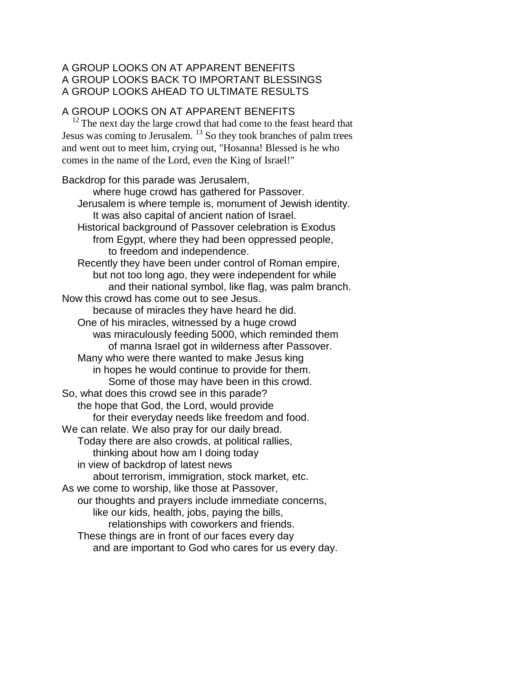## A GROUP LOOKS ON AT APPARENT BENEFITS A GROUP LOOKS BACK TO IMPORTANT BLESSINGS A GROUP LOOKS AHEAD TO ULTIMATE RESULTS

### A GROUP LOOKS ON AT APPARENT BENEFITS

 $12$ <sup>12</sup> The next day the large crowd that had come to the feast heard that Jesus was coming to Jerusalem.<sup>13</sup> So they took branches of palm trees and went out to meet him, crying out, "Hosanna! Blessed is he who comes in the name of the Lord, even the King of Israel!"

Backdrop for this parade was Jerusalem, where huge crowd has gathered for Passover. Jerusalem is where temple is, monument of Jewish identity. It was also capital of ancient nation of Israel. Historical background of Passover celebration is Exodus from Egypt, where they had been oppressed people, to freedom and independence. Recently they have been under control of Roman empire, but not too long ago, they were independent for while and their national symbol, like flag, was palm branch. Now this crowd has come out to see Jesus. because of miracles they have heard he did. One of his miracles, witnessed by a huge crowd was miraculously feeding 5000, which reminded them of manna Israel got in wilderness after Passover. Many who were there wanted to make Jesus king in hopes he would continue to provide for them. Some of those may have been in this crowd. So, what does this crowd see in this parade? the hope that God, the Lord, would provide for their everyday needs like freedom and food. We can relate. We also pray for our daily bread. Today there are also crowds, at political rallies, thinking about how am I doing today in view of backdrop of latest news about terrorism, immigration, stock market, etc. As we come to worship, like those at Passover, our thoughts and prayers include immediate concerns, like our kids, health, jobs, paying the bills, relationships with coworkers and friends. These things are in front of our faces every day and are important to God who cares for us every day.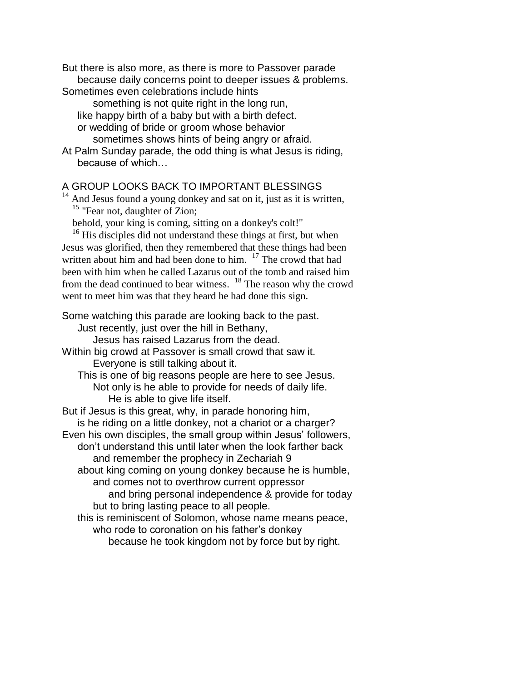But there is also more, as there is more to Passover parade because daily concerns point to deeper issues & problems.

Sometimes even celebrations include hints

something is not quite right in the long run, like happy birth of a baby but with a birth defect. or wedding of bride or groom whose behavior

sometimes shows hints of being angry or afraid.

At Palm Sunday parade, the odd thing is what Jesus is riding, because of which…

### A GROUP LOOKS BACK TO IMPORTANT BLESSINGS

 $14$  And Jesus found a young donkey and sat on it, just as it is written, <sup>15</sup> "Fear not, daughter of Zion;

behold, your king is coming, sitting on a donkey's colt!"

<sup>16</sup> His disciples did not understand these things at first, but when Jesus was glorified, then they remembered that these things had been written about him and had been done to him. <sup>17</sup> The crowd that had been with him when he called Lazarus out of the tomb and raised him from the dead continued to bear witness. <sup>18</sup> The reason why the crowd went to meet him was that they heard he had done this sign.

Some watching this parade are looking back to the past.

Just recently, just over the hill in Bethany,

Jesus has raised Lazarus from the dead.

Within big crowd at Passover is small crowd that saw it. Everyone is still talking about it.

This is one of big reasons people are here to see Jesus. Not only is he able to provide for needs of daily life. He is able to give life itself.

But if Jesus is this great, why, in parade honoring him, is he riding on a little donkey, not a chariot or a charger? Even his own disciples, the small group within Jesus' followers, don't understand this until later when the look farther back and remember the prophecy in Zechariah 9 about king coming on young donkey because he is humble, and comes not to overthrow current oppressor and bring personal independence & provide for today but to bring lasting peace to all people. this is reminiscent of Solomon, whose name means peace, who rode to coronation on his father's donkey because he took kingdom not by force but by right.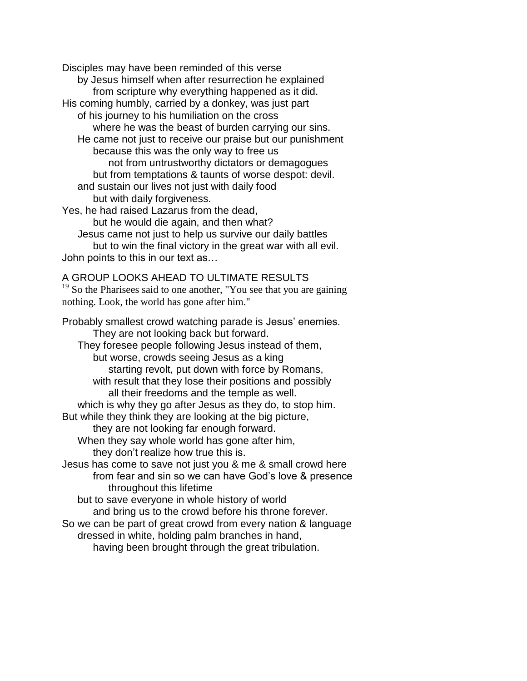Disciples may have been reminded of this verse by Jesus himself when after resurrection he explained from scripture why everything happened as it did. His coming humbly, carried by a donkey, was just part of his journey to his humiliation on the cross where he was the beast of burden carrying our sins. He came not just to receive our praise but our punishment because this was the only way to free us not from untrustworthy dictators or demagogues but from temptations & taunts of worse despot: devil. and sustain our lives not just with daily food but with daily forgiveness. Yes, he had raised Lazarus from the dead, but he would die again, and then what? Jesus came not just to help us survive our daily battles

but to win the final victory in the great war with all evil. John points to this in our text as…

# A GROUP LOOKS AHEAD TO ULTIMATE RESULTS

<sup>19</sup> So the Pharisees said to one another, "You see that you are gaining nothing. Look, the world has gone after him."

Probably smallest crowd watching parade is Jesus' enemies. They are not looking back but forward. They foresee people following Jesus instead of them, but worse, crowds seeing Jesus as a king starting revolt, put down with force by Romans, with result that they lose their positions and possibly all their freedoms and the temple as well. which is why they go after Jesus as they do, to stop him. But while they think they are looking at the big picture, they are not looking far enough forward. When they say whole world has gone after him, they don't realize how true this is. Jesus has come to save not just you & me & small crowd here from fear and sin so we can have God's love & presence throughout this lifetime but to save everyone in whole history of world and bring us to the crowd before his throne forever. So we can be part of great crowd from every nation & language dressed in white, holding palm branches in hand, having been brought through the great tribulation.